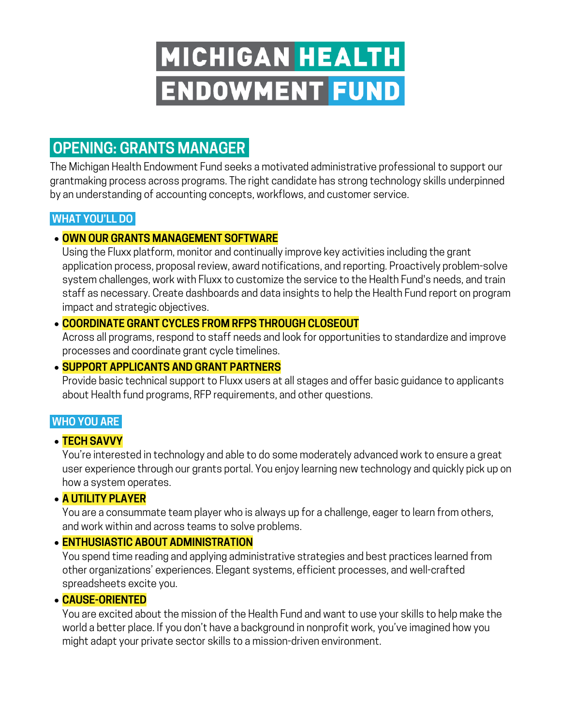# MICHIGAN HEALTH **ENDOWMENT FUND**

# **OPENING: GRANTS MANAGER.**

The Michigan Health Endowment Fund seeks a motivated administrative professional to support our grantmaking process across programs. The right candidate has strong technology skills underpinned by an understanding of accounting concepts, workflows, and customer service.

# **WHAT YOU'LL DO|**

# • **OWN OUR GRANTS MANAGEMENT SOFTWARE**

Using the Fluxx platform, monitor and continually improve key activities including the grant application process, proposal review, award notifications, and reporting. Proactively problem-solve system challenges, work with Fluxx to customize the service to the Health Fund's needs, and train staff as necessary. Create dashboards and data insights to help the Health Fund report on program impact and strategic objectives.

### • **COORDINATE GRANT CYCLES FROM RFPS THROUGH CLOSEOUT**

Across all programs, respond to staff needs and look for opportunities to standardize and improve processes and coordinate grant cycle timelines.

## • **SUPPORT APPLICANTS AND GRANT PARTNERS**

Provide basic technical support to Fluxx users at all stages and offer basic guidance to applicants about Health fund programs, RFP requirements, and other questions.

# **WHO YOU ARE|**

#### • **TECH SAVVY**

You're interested in technology and able to do some moderately advanced work to ensure a great user experience through our grants portal. You enjoy learning new technology and quickly pick up on how a system operates.

#### • **A UTILITY PLAYER**

You are a consummate team player who is always up for a challenge, eager to learn from others, and work within and across teams to solve problems.

#### • **ENTHUSIASTIC ABOUT ADMINISTRATION**

You spend time reading and applying administrative strategies and best practices learned from other organizations' experiences. Elegant systems, efficient processes, and well-crafted spreadsheets excite you.

#### • **CAUSE-ORIENTED**

You are excited about the mission of the Health Fund and want to use your skills to help make the world a better place. If you don't have a background in nonprofit work, you've imagined how you might adapt your private sector skills to a mission-driven environment.